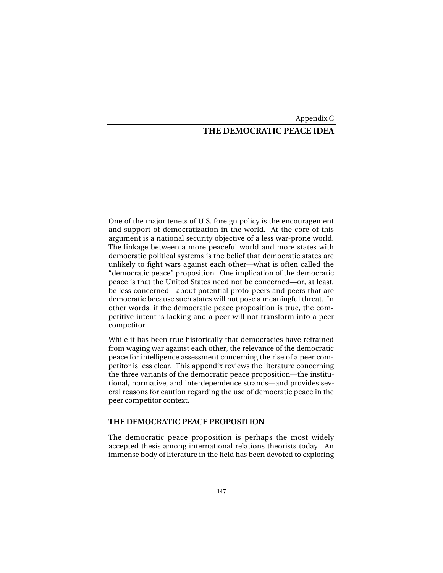#### Appendix C

# **THE DEMOCRATIC PEACE IDEA**

One of the major tenets of U.S. foreign policy is the encouragement and support of democratization in the world. At the core of this argument is a national security objective of a less war-prone world. The linkage between a more peaceful world and more states with democratic political systems is the belief that democratic states are unlikely to fight wars against each other—what is often called the "democratic peace" proposition. One implication of the democratic peace is that the United States need not be concerned—or, at least, be less concerned—about potential proto-peers and peers that are democratic because such states will not pose a meaningful threat. In other words, if the democratic peace proposition is true, the competitive intent is lacking and a peer will not transform into a peer competitor.

While it has been true historically that democracies have refrained from waging war against each other, the relevance of the democratic peace for intelligence assessment concerning the rise of a peer competitor is less clear. This appendix reviews the literature concerning the three variants of the democratic peace proposition—the institutional, normative, and interdependence strands—and provides several reasons for caution regarding the use of democratic peace in the peer competitor context.

## **THE DEMOCRATIC PEACE PROPOSITION**

The democratic peace proposition is perhaps the most widely accepted thesis among international relations theorists today. An immense body of literature in the field has been devoted to exploring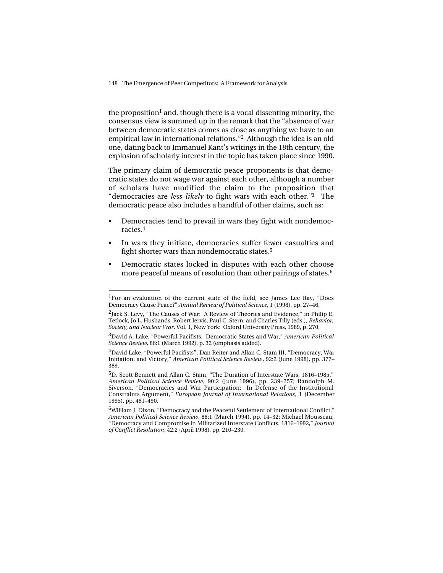the proposition<sup>1</sup> and, though there is a vocal dissenting minority, the consensus view is summed up in the remark that the "absence of war between democratic states comes as close as anything we have to an empirical law in international relations."2 Although the idea is an old one, dating back to Immanuel Kant's writings in the 18th century, the explosion of scholarly interest in the topic has taken place since 1990.

The primary claim of democratic peace proponents is that democratic states do not wage war against each other, although a number of scholars have modified the claim to the proposition that "democracies are *less likely* to fight wars with each other."3 The democratic peace also includes a handful of other claims, such as:

- Democracies tend to prevail in wars they fight with nondemocracies.4
- In wars they initiate, democracies suffer fewer casualties and fight shorter wars than nondemocratic states.<sup>5</sup>
- Democratic states locked in disputes with each other choose more peaceful means of resolution than other pairings of states.<sup>6</sup>

\_\_\_\_\_\_\_\_\_\_\_\_\_\_

<sup>&</sup>lt;sup>1</sup>For an evaluation of the current state of the field, see James Lee Ray, "Does Democracy Cause Peace?" *Annual Review of Political Science*, 1 (1998), pp. 27–46.

<sup>&</sup>lt;sup>2</sup>Jack S. Levy, "The Causes of War: A Review of Theories and Evidence," in Philip E. Tetlock, Jo L. Husbands, Robert Jervis, Paul C. Stern, and Charles Tilly (eds.), *Behavior, Society, and Nuclear War*, Vol. 1, New York: Oxford University Press, 1989, p. 270.

<sup>3</sup>David A. Lake, "Powerful Pacifists: Democratic States and War," *American Political Science Review*, 86:1 (March 1992), p. 32 (emphasis added).

<sup>4</sup>David Lake, "Powerful Pacifists"; Dan Reiter and Allan C. Stam III, "Democracy, War Initiation, and Victory," *American Political Science Review*, 92:2 (June 1998), pp. 377– 389.

<sup>&</sup>lt;sup>5</sup>D. Scott Bennett and Allan C. Stam, "The Duration of Interstate Wars, 1816–1985," *American Political Science Review*, 90:2 (June 1996), pp. 239–257; Randolph M. Siverson, "Democracies and War Participation: In Defense of the Institutional Constraints Argument," *European Journal of International Relations*, 1 (December 1995), pp. 481–490.

<sup>6</sup>William J. Dixon, "Democracy and the Peaceful Settlement of International Conflict," *American Political Science Review*, 88:1 (March 1994), pp. 14–32; Michael Mousseau, "Democracy and Compromise in Militarized Interstate Conflicts, 1816–1992," *Journal of Conflict Resolution*, 42:2 (April 1998), pp. 210–230.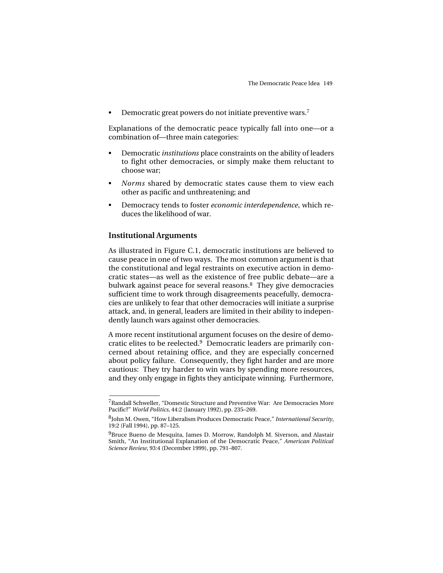Democratic great powers do not initiate preventive wars.<sup>7</sup>

Explanations of the democratic peace typically fall into one—or a combination of—three main categories:

- Democratic *institutions* place constraints on the ability of leaders to fight other democracies, or simply make them reluctant to choose war;
- *Norms* shared by democratic states cause them to view each other as pacific and unthreatening; and
- Democracy tends to foster *economic interdependence*, which reduces the likelihood of war.

## **Institutional Arguments**

 $\overline{\phantom{a}}$ 

As illustrated in Figure C.1, democratic institutions are believed to cause peace in one of two ways. The most common argument is that the constitutional and legal restraints on executive action in democratic states—as well as the existence of free public debate—are a bulwark against peace for several reasons. $8$  They give democracies sufficient time to work through disagreements peacefully, democracies are unlikely to fear that other democracies will initiate a surprise attack, and, in general, leaders are limited in their ability to independently launch wars against other democracies.

A more recent institutional argument focuses on the desire of democratic elites to be reelected.9 Democratic leaders are primarily concerned about retaining office, and they are especially concerned about policy failure. Consequently, they fight harder and are more cautious: They try harder to win wars by spending more resources, and they only engage in fights they anticipate winning. Furthermore,

<sup>7</sup>Randall Schweller, "Domestic Structure and Preventive War: Are Democracies More Pacific?" *World Politics,* 44:2 (January 1992), pp. 235–269.

<sup>8</sup>John M. Owen, "How Liberalism Produces Democratic Peace," *International Security*, 19:2 (Fall 1994), pp. 87–125.

<sup>9</sup>Bruce Bueno de Mesquita, James D. Morrow, Randolph M. Siverson, and Alastair Smith, "An Institutional Explanation of the Democratic Peace," *American Political Science Review*, 93:4 (December 1999), pp. 791–807.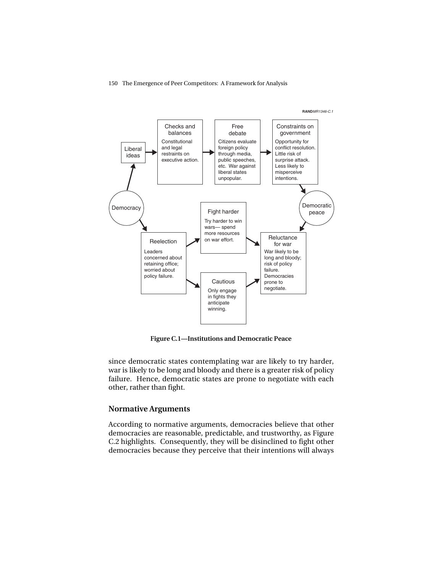

**Figure C.1—Institutions and Democratic Peace**

since democratic states contemplating war are likely to try harder, war is likely to be long and bloody and there is a greater risk of policy failure. Hence, democratic states are prone to negotiate with each other, rather than fight.

### **Normative Arguments**

According to normative arguments, democracies believe that other democracies are reasonable, predictable, and trustworthy, as Figure C.2 highlights. Consequently, they will be disinclined to fight other democracies because they perceive that their intentions will always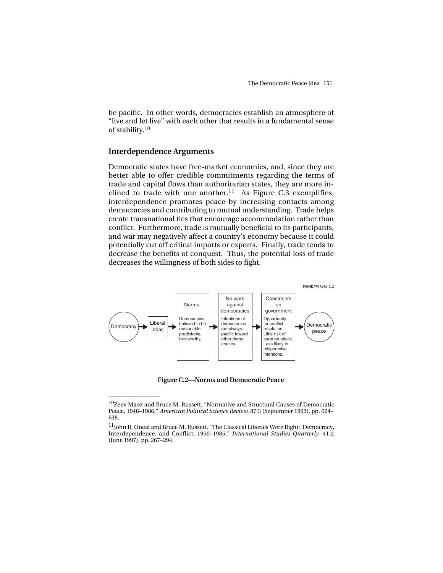be pacific. In other words, democracies establish an atmosphere of "live and let live" with each other that results in a fundamental sense of stability.10

## **Interdependence Arguments**

\_\_\_\_\_\_\_\_\_\_\_\_\_\_

Democratic states have free-market economies, and, since they are better able to offer credible commitments regarding the terms of trade and capital flows than authoritarian states, they are more inclined to trade with one another.<sup>11</sup> As Figure C.3 exemplifies, interdependence promotes peace by increasing contacts among democracies and contributing to mutual understanding. Trade helps create transnational ties that encourage accommodation rather than conflict. Furthermore, trade is mutually beneficial to its participants, and war may negatively affect a country's economy because it could potentially cut off critical imports or exports. Finally, trade tends to decrease the benefits of conquest. Thus, the potential loss of trade decreases the willingness of both sides to fight.



**Figure C.2—Norms and Democratic Peace**

 $^{10}$ Zeev Maoz and Bruce M. Russett, "Normative and Structural Causes of Democratic Peace, 1946–1986," *American Political Science Review*, 87:3 (September 1993), pp. 624– 638.

<sup>11</sup>John R. Oneal and Bruce M. Russett, "The Classical Liberals Were Right: Democracy, Interdependence, and Conflict, 1950–1985," *International Studies Quarterly*, 41:2 (June 1997), pp. 267–294.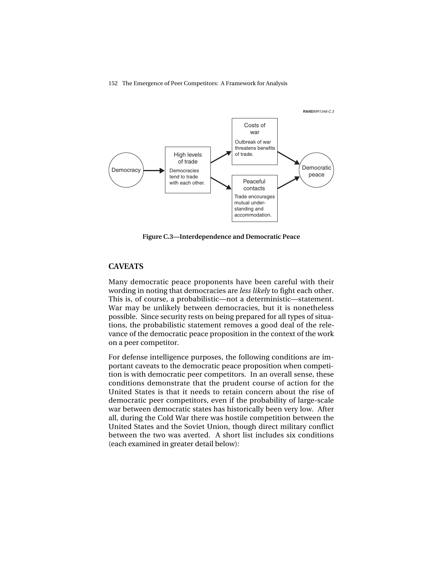

**Figure C.3—Interdependence and Democratic Peace**

## **CAVEATS**

Many democratic peace proponents have been careful with their wording in noting that democracies are *less likely* to fight each other. This is, of course, a probabilistic—not a deterministic—statement. War may be unlikely between democracies, but it is nonetheless possible. Since security rests on being prepared for all types of situations, the probabilistic statement removes a good deal of the relevance of the democratic peace proposition in the context of the work on a peer competitor.

For defense intelligence purposes, the following conditions are important caveats to the democratic peace proposition when competition is with democratic peer competitors. In an overall sense, these conditions demonstrate that the prudent course of action for the United States is that it needs to retain concern about the rise of democratic peer competitors, even if the probability of large-scale war between democratic states has historically been very low. After all, during the Cold War there was hostile competition between the United States and the Soviet Union, though direct military conflict between the two was averted. A short list includes six conditions (each examined in greater detail below):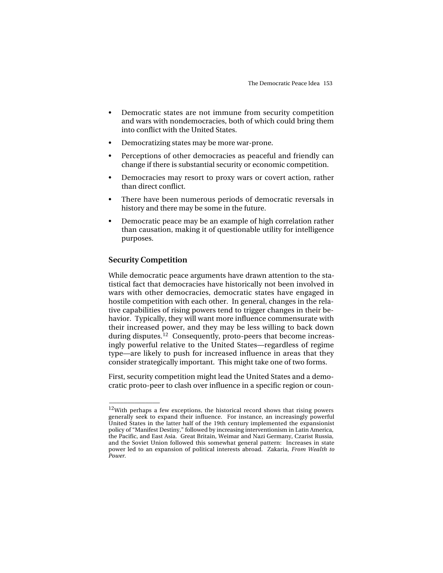- Democratic states are not immune from security competition and wars with nondemocracies, both of which could bring them into conflict with the United States.
- Democratizing states may be more war-prone.
- Perceptions of other democracies as peaceful and friendly can change if there is substantial security or economic competition.
- Democracies may resort to proxy wars or covert action, rather than direct conflict.
- There have been numerous periods of democratic reversals in history and there may be some in the future.
- Democratic peace may be an example of high correlation rather than causation, making it of questionable utility for intelligence purposes.

### **Security Competition**

 $\overline{\phantom{a}}$ 

While democratic peace arguments have drawn attention to the statistical fact that democracies have historically not been involved in wars with other democracies, democratic states have engaged in hostile competition with each other. In general, changes in the relative capabilities of rising powers tend to trigger changes in their behavior. Typically, they will want more influence commensurate with their increased power, and they may be less willing to back down during disputes.<sup>12</sup> Consequently, proto-peers that become increasingly powerful relative to the United States—regardless of regime type—are likely to push for increased influence in areas that they consider strategically important. This might take one of two forms.

First, security competition might lead the United States and a democratic proto-peer to clash over influence in a specific region or coun-

 $12$ With perhaps a few exceptions, the historical record shows that rising powers generally seek to expand their influence. For instance, an increasingly powerful United States in the latter half of the 19th century implemented the expansionist policy of "Manifest Destiny," followed by increasing interventionism in Latin America, the Pacific, and East Asia. Great Britain, Weimar and Nazi Germany, Czarist Russia, and the Soviet Union followed this somewhat general pattern: Increases in state power led to an expansion of political interests abroad. Zakaria, *From Wealth to Power*.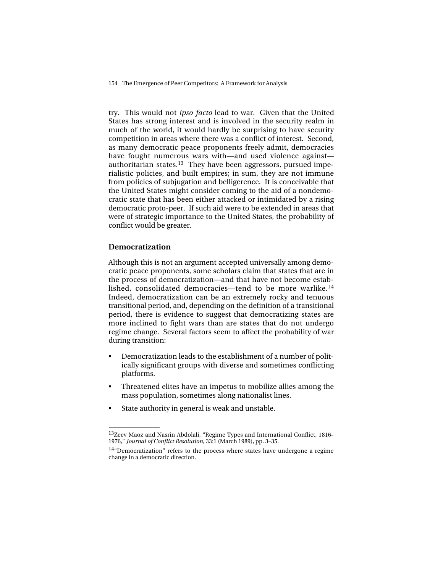try. This would not *ipso facto* lead to war. Given that the United States has strong interest and is involved in the security realm in much of the world, it would hardly be surprising to have security competition in areas where there was a conflict of interest. Second, as many democratic peace proponents freely admit, democracies have fought numerous wars with—and used violence against authoritarian states.13 They have been aggressors, pursued imperialistic policies, and built empires; in sum, they are not immune from policies of subjugation and belligerence. It is conceivable that the United States might consider coming to the aid of a nondemocratic state that has been either attacked or intimidated by a rising democratic proto-peer. If such aid were to be extended in areas that were of strategic importance to the United States, the probability of conflict would be greater.

## **Democratization**

\_\_\_\_\_\_\_\_\_\_\_\_\_\_

Although this is not an argument accepted universally among democratic peace proponents, some scholars claim that states that are in the process of democratization—and that have not become established, consolidated democracies—tend to be more warlike.<sup>14</sup> Indeed, democratization can be an extremely rocky and tenuous transitional period, and, depending on the definition of a transitional period, there is evidence to suggest that democratizing states are more inclined to fight wars than are states that do not undergo regime change. Several factors seem to affect the probability of war during transition:

- Democratization leads to the establishment of a number of politically significant groups with diverse and sometimes conflicting platforms.
- Threatened elites have an impetus to mobilize allies among the mass population, sometimes along nationalist lines.
- State authority in general is weak and unstable.

<sup>13</sup>Zeev Maoz and Nasrin Abdolali, "Regime Types and International Conflict, 1816– 1976," *Journal of Conflict Resolution*, 33:1 (March 1989), pp. 3–35.

<sup>&</sup>lt;sup>14</sup>"Democratization" refers to the process where states have undergone a regime change in a democratic direction.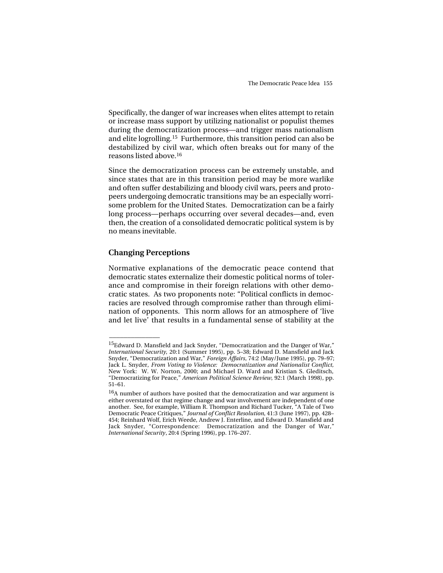Specifically, the danger of war increases when elites attempt to retain or increase mass support by utilizing nationalist or populist themes during the democratization process—and trigger mass nationalism and elite logrolling.15 Furthermore, this transition period can also be destabilized by civil war, which often breaks out for many of the reasons listed above.16

Since the democratization process can be extremely unstable, and since states that are in this transition period may be more warlike and often suffer destabilizing and bloody civil wars, peers and protopeers undergoing democratic transitions may be an especially worrisome problem for the United States. Democratization can be a fairly long process—perhaps occurring over several decades—and, even then, the creation of a consolidated democratic political system is by no means inevitable.

# **Changing Perceptions**

 $\overline{\phantom{a}}$ 

Normative explanations of the democratic peace contend that democratic states externalize their domestic political norms of tolerance and compromise in their foreign relations with other democratic states. As two proponents note: "Political conflicts in democracies are resolved through compromise rather than through elimination of opponents. This norm allows for an atmosphere of 'live and let live' that results in a fundamental sense of stability at the

<sup>&</sup>lt;sup>15</sup>Edward D. Mansfield and Jack Snyder, "Democratization and the Danger of War," *International Security,* 20:1 (Summer 1995), pp. 5–38; Edward D. Mansfield and Jack Snyder, "Democratization and War," *Foreign Affairs*, 74:2 (May/June 1995), pp. 79–97; Jack L. Snyder, *From Voting to Violence: Democratization and Nationalist Conflict,* New York: W. W. Norton, 2000; and Michael D. Ward and Kristian S. Gleditsch, "Democratizing for Peace," *American Political Science Review*, 92:1 (March 1998), pp. 51–61.

<sup>&</sup>lt;sup>16</sup>A number of authors have posited that the democratization and war argument is either overstated or that regime change and war involvement are independent of one another. See, for example, William R. Thompson and Richard Tucker, "A Tale of Two Democratic Peace Critiques," *Journal of Conflict Resolution*, 41:3 (June 1997), pp. 428– 454; Reinhard Wolf, Erich Weede, Andrew J. Enterline, and Edward D. Mansfield and Jack Snyder, "Correspondence: Democratization and the Danger of War," *International Security*, 20:4 (Spring 1996), pp. 176–207.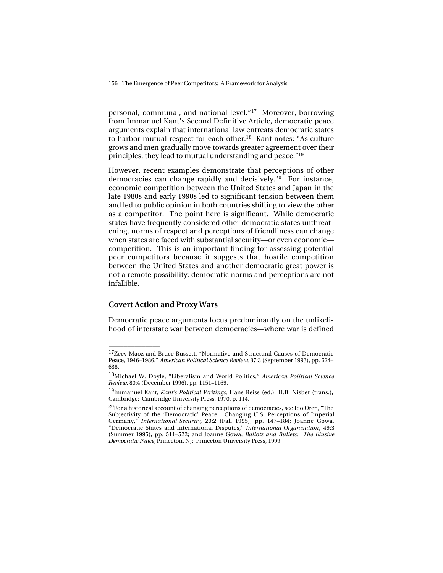personal, communal, and national level."17 Moreover, borrowing from Immanuel Kant's Second Definitive Article, democratic peace arguments explain that international law entreats democratic states to harbor mutual respect for each other.18 Kant notes: "As culture grows and men gradually move towards greater agreement over their principles, they lead to mutual understanding and peace."19

However, recent examples demonstrate that perceptions of other democracies can change rapidly and decisively.20 For instance, economic competition between the United States and Japan in the late 1980s and early 1990s led to significant tension between them and led to public opinion in both countries shifting to view the other as a competitor. The point here is significant. While democratic states have frequently considered other democratic states unthreatening, norms of respect and perceptions of friendliness can change when states are faced with substantial security—or even economic competition. This is an important finding for assessing potential peer competitors because it suggests that hostile competition between the United States and another democratic great power is not a remote possibility; democratic norms and perceptions are not infallible.

#### **Covert Action and Proxy Wars**

 $\overline{\phantom{a}}$ 

Democratic peace arguments focus predominantly on the unlikelihood of interstate war between democracies—where war is defined

<sup>17</sup>Zeev Maoz and Bruce Russett, "Normative and Structural Causes of Democratic Peace, 1946–1986," *American Political Science Review*, 87:3 (September 1993), pp. 624– 638.

<sup>18</sup>Michael W. Doyle, "Liberalism and World Politics," *American Political Science Review*, 80:4 (December 1996), pp. 1151–1169.

<sup>19</sup>Immanuel Kant, *Kant's Political Writings*, Hans Reiss (ed.), H.B. Nisbet (trans.), Cambridge: Cambridge University Press, 1970, p. 114.

<sup>20</sup>For a historical account of changing perceptions of democracies, see Ido Oren, "The Subjectivity of the 'Democratic' Peace: Changing U.S. Perceptions of Imperial Germany," *International Security*, 20:2 (Fall 1995), pp. 147–184; Joanne Gowa, "Democratic States and International Disputes," *International Organization*, 49:3 (Summer 1995), pp. 511–522; and Joanne Gowa, *Ballots and Bullets: The Elusive Democratic Peace,* Princeton, NJ: Princeton University Press, 1999.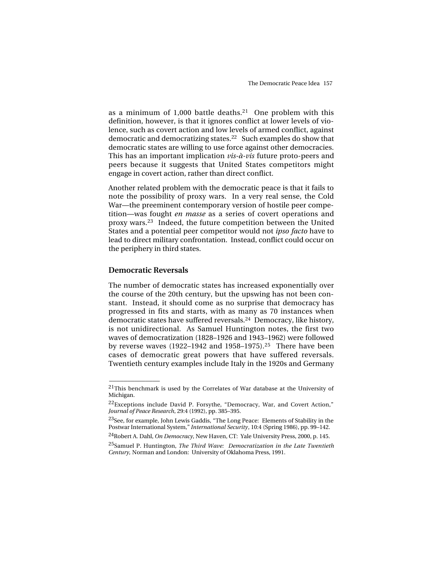as a minimum of 1,000 battle deaths.<sup>21</sup> One problem with this definition, however, is that it ignores conflict at lower levels of violence, such as covert action and low levels of armed conflict, against democratic and democratizing states.22 Such examples do show that democratic states are willing to use force against other democracies. This has an important implication *vis-à-vis* future proto-peers and peers because it suggests that United States competitors might engage in covert action, rather than direct conflict.

Another related problem with the democratic peace is that it fails to note the possibility of proxy wars. In a very real sense, the Cold War—the preeminent contemporary version of hostile peer competition—was fought *en masse* as a series of covert operations and proxy wars.23 Indeed, the future competition between the United States and a potential peer competitor would not *ipso facto* have to lead to direct military confrontation. Instead, conflict could occur on the periphery in third states.

## **Democratic Reversals**

 $\overline{\phantom{a}}$ 

The number of democratic states has increased exponentially over the course of the 20th century, but the upswing has not been constant. Instead, it should come as no surprise that democracy has progressed in fits and starts, with as many as 70 instances when democratic states have suffered reversals.24 Democracy, like history, is not unidirectional. As Samuel Huntington notes, the first two waves of democratization (1828–1926 and 1943–1962) were followed by reverse waves (1922–1942 and 1958–1975).<sup>25</sup> There have been cases of democratic great powers that have suffered reversals. Twentieth century examples include Italy in the 1920s and Germany

<sup>21</sup>This benchmark is used by the Correlates of War database at the University of Michigan.

<sup>22</sup>Exceptions include David P. Forsythe, "Democracy, War, and Covert Action," *Journal of Peace Research*, 29:4 (1992), pp. 385–395.

<sup>23</sup>See, for example, John Lewis Gaddis, "The Long Peace: Elements of Stability in the Postwar International System," *International Security*, 10:4 (Spring 1986), pp. 99–142.

<sup>24</sup>Robert A. Dahl, *On Democracy*, New Haven, CT: Yale University Press, 2000, p. 145.

<sup>25</sup>Samuel P. Huntington, *The Third Wave: Democratization in the Late Twentieth Century,* Norman and London: University of Oklahoma Press, 1991.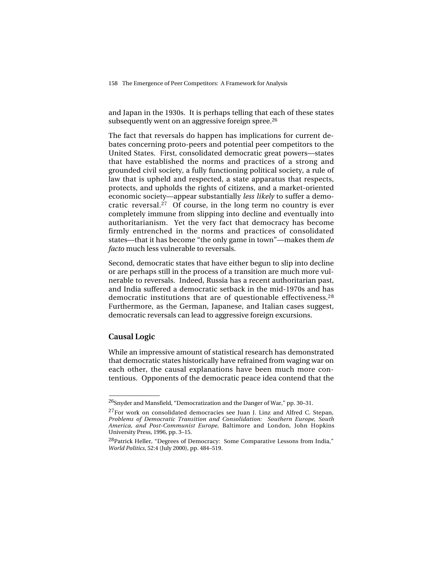and Japan in the 1930s. It is perhaps telling that each of these states subsequently went on an aggressive foreign spree.26

The fact that reversals do happen has implications for current debates concerning proto-peers and potential peer competitors to the United States. First, consolidated democratic great powers—states that have established the norms and practices of a strong and grounded civil society, a fully functioning political society, a rule of law that is upheld and respected, a state apparatus that respects, protects, and upholds the rights of citizens, and a market-oriented economic society—appear substantially *less likely* to suffer a democratic reversal.27 Of course, in the long term no country is ever completely immune from slipping into decline and eventually into authoritarianism. Yet the very fact that democracy has become firmly entrenched in the norms and practices of consolidated states—that it has become "the only game in town"—makes them *de facto* much less vulnerable to reversals.

Second, democratic states that have either begun to slip into decline or are perhaps still in the process of a transition are much more vulnerable to reversals. Indeed, Russia has a recent authoritarian past, and India suffered a democratic setback in the mid-1970s and has democratic institutions that are of questionable effectiveness.28 Furthermore, as the German, Japanese, and Italian cases suggest, democratic reversals can lead to aggressive foreign excursions.

### **Causal Logic**

 $\overline{\phantom{a}}$ 

While an impressive amount of statistical research has demonstrated that democratic states historically have refrained from waging war on each other, the causal explanations have been much more contentious. Opponents of the democratic peace idea contend that the

<sup>26</sup>Snyder and Mansfield, "Democratization and the Danger of War," pp. 30–31.

 $27$ For work on consolidated democracies see Juan J. Linz and Alfred C. Stepan, *Problems of Democratic Transition and Consolidation: Southern Europe, South America, and Post-Communist Europe,* Baltimore and London, John Hopkins University Press, 1996, pp. 3–15.

<sup>28</sup>Patrick Heller, "Degrees of Democracy: Some Comparative Lessons from India," *World Politics*, 52:4 (July 2000), pp. 484–519.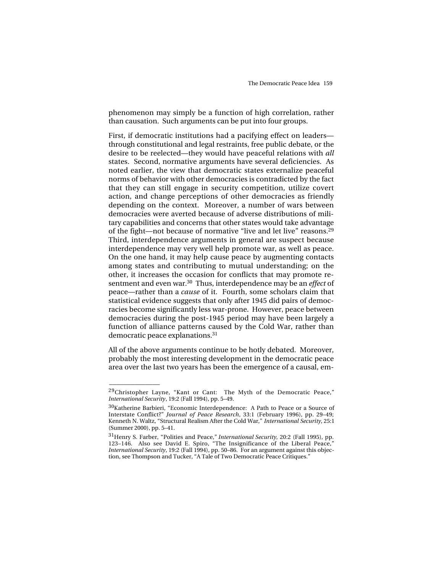phenomenon may simply be a function of high correlation, rather than causation. Such arguments can be put into four groups.

First, if democratic institutions had a pacifying effect on leaders through constitutional and legal restraints, free public debate, or the desire to be reelected—they would have peaceful relations with *all* states. Second, normative arguments have several deficiencies. As noted earlier, the view that democratic states externalize peaceful norms of behavior with other democracies is contradicted by the fact that they can still engage in security competition, utilize covert action, and change perceptions of other democracies as friendly depending on the context. Moreover, a number of wars between democracies were averted because of adverse distributions of military capabilities and concerns that other states would take advantage of the fight—not because of normative "live and let live" reasons.29 Third, interdependence arguments in general are suspect because interdependence may very well help promote war, as well as peace. On the one hand, it may help cause peace by augmenting contacts among states and contributing to mutual understanding; on the other, it increases the occasion for conflicts that may promote resentment and even war.30 Thus, interdependence may be an *effect* of peace—rather than a *cause* of it. Fourth, some scholars claim that statistical evidence suggests that only after 1945 did pairs of democracies become significantly less war-prone. However, peace between democracies during the post-1945 period may have been largely a function of alliance patterns caused by the Cold War, rather than democratic peace explanations.31

All of the above arguments continue to be hotly debated. Moreover, probably the most interesting development in the democratic peace area over the last two years has been the emergence of a causal, em-

 $\overline{\phantom{a}}$ 

<sup>29</sup>Christopher Layne, "Kant or Cant: The Myth of the Democratic Peace," *International Security*, 19:2 (Fall 1994), pp. 5–49.

<sup>30</sup>Katherine Barbieri, "Economic Interdependence: A Path to Peace or a Source of Interstate Conflict?" *Journal of Peace Research*, 33:1 (February 1996), pp. 29–49; Kenneth N. Waltz, "Structural Realism After the Cold War," *International Security*, 25:1 (Summer 2000), pp. 5–41.

<sup>31</sup>Henry S. Farber, "Polities and Peace," *International Security*, 20:2 (Fall 1995), pp. 123–146. Also see David E. Spiro, "The Insignificance of the Liberal Peace," *International Security*, 19:2 (Fall 1994), pp. 50–86. For an argument against this objection, see Thompson and Tucker, "A Tale of Two Democratic Peace Critiques."